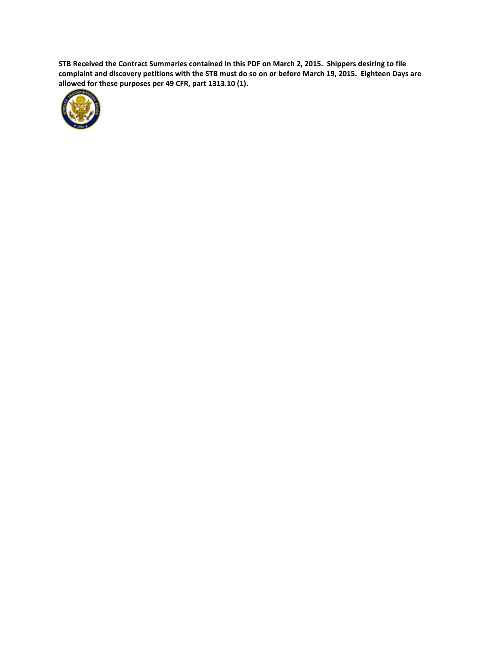**STB Received the Contract Summaries contained in this PDF on March 2, 2015. Shippers desiring to file complaint and discovery petitions with the STB must do so on or before March 19, 2015. Eighteen Days are allowed for these purposes per 49 CFR, part 1313.10 (1).**

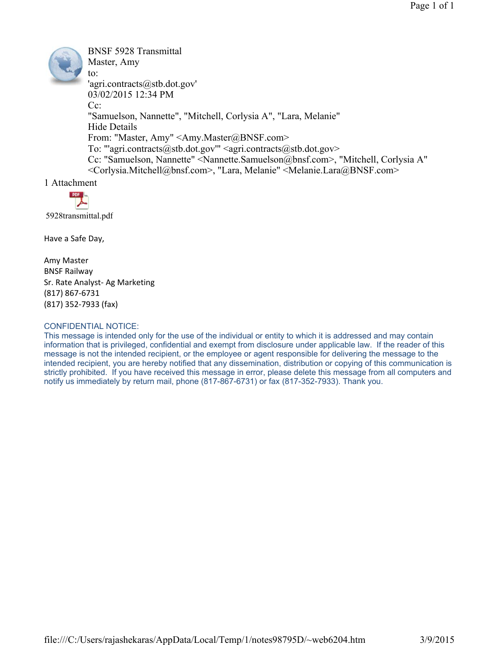BNSF 5928 Transmittal Master, Amy to: 'agri.contracts@stb.dot.gov' 03/02/2015 12:34 PM  $Cc^{\dagger}$ "Samuelson, Nannette", "Mitchell, Corlysia A", "Lara, Melanie" Hide Details From: "Master, Amy" <Amy.Master@BNSF.com> To: "'agri.contracts@stb.dot.gov'"  $\leq$ agri.contracts@stb.dot.gov> Cc: "Samuelson, Nannette" <Nannette.Samuelson@bnsf.com>, "Mitchell, Corlysia A" <Corlysia.Mitchell@bnsf.com>, "Lara, Melanie" <Melanie.Lara@BNSF.com>

1 Attachment



Have a Safe Day,

Amy Master BNSF Railway Sr. Rate Analyst- Ag Marketing (817) 867-6731 (817) 352-7933 (fax)

#### CONFIDENTIAL NOTICE:

This message is intended only for the use of the individual or entity to which it is addressed and may contain information that is privileged, confidential and exempt from disclosure under applicable law. If the reader of this message is not the intended recipient, or the employee or agent responsible for delivering the message to the intended recipient, you are hereby notified that any dissemination, distribution or copying of this communication is strictly prohibited. If you have received this message in error, please delete this message from all computers and notify us immediately by return mail, phone (817-867-6731) or fax (817-352-7933). Thank you.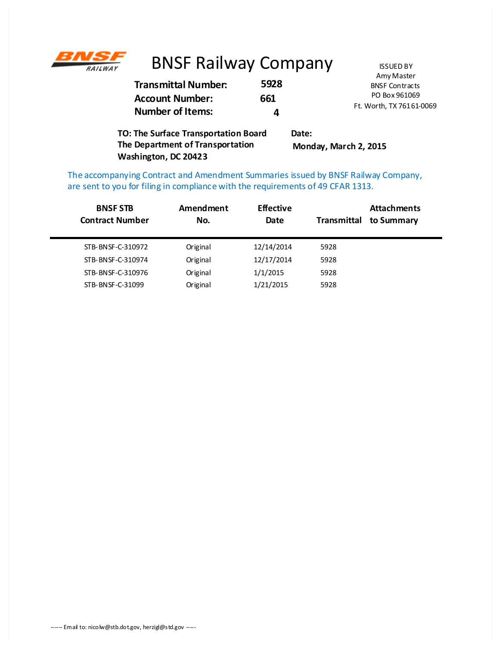

# BNSF Railway Company **ISSUED BY**

|                                                   |              | Amy Master               |
|---------------------------------------------------|--------------|--------------------------|
| <b>Transmittal Number:</b>                        | 5928         | <b>BNSF Contracts</b>    |
| <b>Account Number:</b><br><b>Number of Items:</b> | 661          | PO Box 961069            |
|                                                   | Д            | Ft. Worth, TX 76161-0069 |
| O: The Surface Transportation Board               | <b>Data:</b> |                          |

**TO: The Surface Transportation Board The Department of Transportation Washington, DC 20423 Date: Monday, March 2, 2015**

The accompanying Contract and Amendment Summaries issued by BNSF Railway Company, are sent to you for filing in compliance with the requirements of 49 CFAR 1313.

| <b>BNSF STB</b><br><b>Contract Number</b> | Amendment<br>No. | <b>Effective</b><br>Date | Transmittal | <b>Attachments</b><br>to Summary |
|-------------------------------------------|------------------|--------------------------|-------------|----------------------------------|
| STB-BNSF-C-310972                         | Original         | 12/14/2014               | 5928        |                                  |
| STB-BNSF-C-310974                         | Original         | 12/17/2014               | 5928        |                                  |
| STB-BNSF-C-310976                         | Original         | 1/1/2015                 | 5928        |                                  |
| STB-BNSF-C-31099                          | Original         | 1/21/2015                | 5928        |                                  |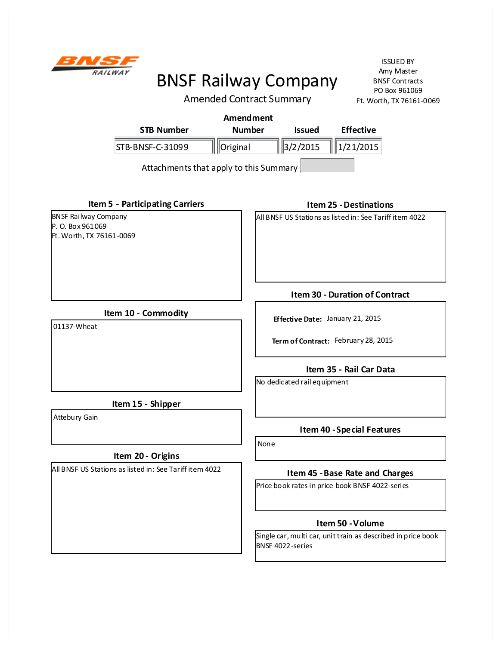

ISSUED BY Amy Master BNSF Contracts PO Box 961069 Ft. Worth, TX 76161-0069

Amended Contract Summary

|                   | Amendment     |                     |                  |
|-------------------|---------------|---------------------|------------------|
| <b>STB Number</b> | <b>Number</b> | <b>Issued</b>       | <b>Effective</b> |
| STB-BNSF-C-31099  | ' Original    | $\frac{3}{2}$ /2015 | $\ 1/21/2015\ $  |
|                   |               |                     |                  |

Attachments that apply to this Summary

**Item 5 - Participating Carriers**

BNSF Railway Company P. O. Box 961069 Ft. Worth, TX 76161-0069 **Item 25 - Destinations**

All BNSF US Stations as listed in: See Tariff item 4022

**Item 10 - Commodity**

01137-Wheat

**Item 30 - Duration of Contract**

**Effective Date:** January 21, 2015

**Term of Contract:** February 28, 2015

# **Item 35 - Rail Car Data**

No dedicated rail equipment

**Item 15 - Shipper**

Attebury Gain

# **Item 20 - Origins**

All BNSF US Stations as listed in: See Tariff item 4022

**Item 40 - Special Features**

None

### **Item 45 - Base Rate and Charges**

Price book rates in price book BNSF 4022-series

### **Item 50 - Volume**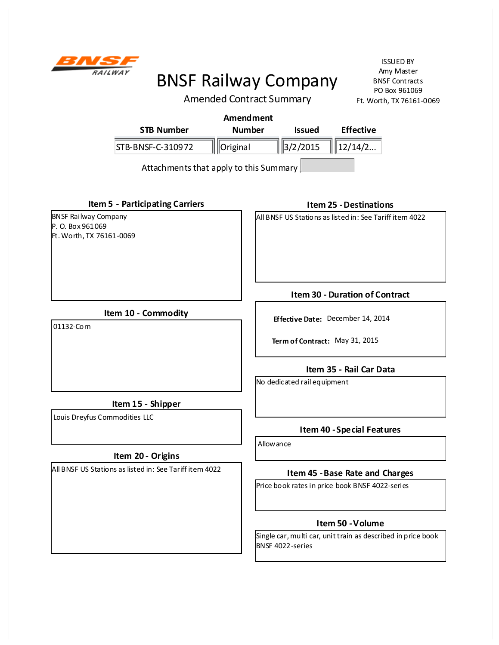

ISSUED BY Amy Master BNSF Contracts PO Box 961069 Ft. Worth, TX 76161-0069

Amended Contract Summary

| Amendment         |               |               |                  |
|-------------------|---------------|---------------|------------------|
| <b>STB Number</b> | <b>Number</b> | <b>Issued</b> | <b>Effective</b> |
| STB-BNSF-C-310972 | Original      | $\ $ 3/2/2015 | $\ $   12/14/2   |
|                   |               |               |                  |

Attachments that apply to this Summary

**Item 5 - Participating Carriers**

BNSF Railway Company P. O. Box 961069 Ft. Worth, TX 76161-0069 **Item 25 - Destinations**

All BNSF US Stations as listed in: See Tariff item 4022

**Item 10 - Commodity**

01132-Corn

**Item 15 - Shipper**

Louis Dreyfus Commodities LLC

# **Item 20 - Origins**

All BNSF US Stations as listed in: See Tariff item 4022

**Item 30 - Duration of Contract**

**Effective Date:** December 14, 2014

**Term of Contract:** May 31, 2015

# **Item 35 - Rail Car Data**

No dedicated rail equipment

### **Item 40 - Special Features**

Allowance

### **Item 45 - Base Rate and Charges**

Price book rates in price book BNSF 4022-series

### **Item 50 - Volume**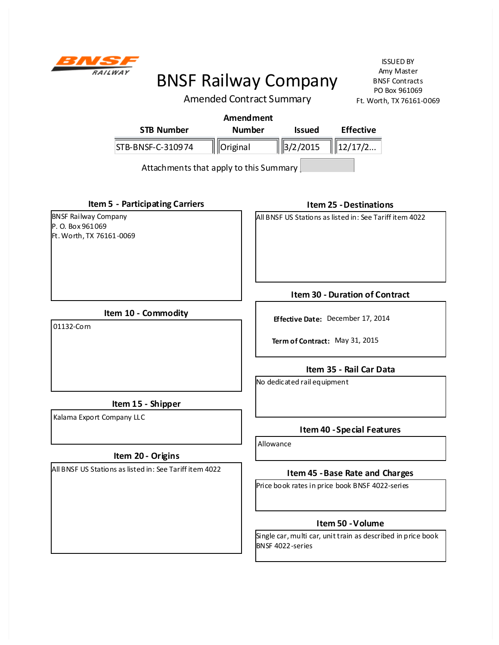

ISSUED BY Amy Master BNSF Contracts PO Box 961069 Ft. Worth, TX 76161-0069

Amended Contract Summary

| Amendment         |               |                       |                  |
|-------------------|---------------|-----------------------|------------------|
| <b>STB Number</b> | <b>Number</b> | <b>Issued</b>         | <b>Effective</b> |
| STB-BNSF-C-310974 | Original      | $\frac{1}{3}$ /2/2015 | $\ $   12/17/2   |
|                   |               |                       |                  |

Attachments that apply to this Summary

**Item 5 - Participating Carriers**

BNSF Railway Company P. O. Box 961069 Ft. Worth, TX 76161-0069 **Item 25 - Destinations**

All BNSF US Stations as listed in: See Tariff item 4022

**Item 10 - Commodity**

01132-Corn

**Item 15 - Shipper**

Kalama Export Company LLC

# **Item 20 - Origins**

All BNSF US Stations as listed in: See Tariff item 4022

**Item 30 - Duration of Contract**

**Effective Date:** December 17, 2014

**Term of Contract:** May 31, 2015

# **Item 35 - Rail Car Data**

No dedicated rail equipment

### **Item 40 - Special Features**

Allowance

### **Item 45 - Base Rate and Charges**

Price book rates in price book BNSF 4022-series

### **Item 50 - Volume**